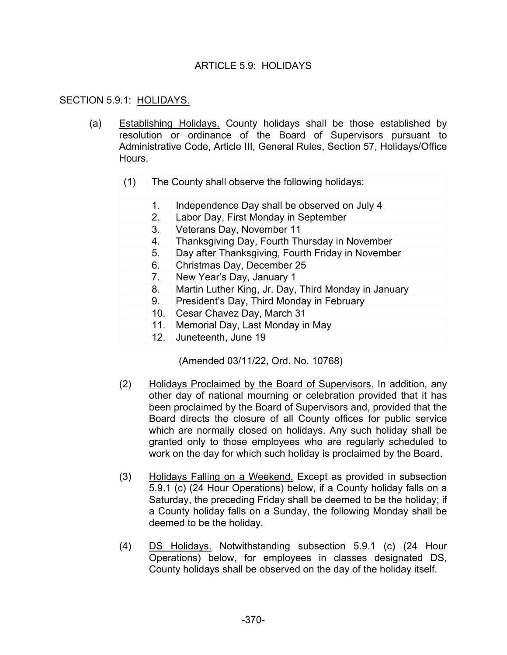## ARTICLE  $5.9$  HOLIDAYS

### SECTION 5.9.1: HOLIDAYS.

- (a) Establishing Holidays. County holidays shall be those established by resolution or ordinance of the Board of Supervisors pursuant to Administrative Code, Article III, General Rules, Section 57, Holidays/Office Hours.
	- (1) The County shall observe the following holidays:
		- 1. Independence Day shall be observed on July 4
		- 2. Labor Day, First Monday in September
		- 3. Veterans Day, November 11
			- 4. Thanksgiving Day, Fourth Thursday in November
			- 5. Day after Thanksgiving, Fourth Friday in November
		- 6. Christmas Day, December 25
		- 7. New Year's Day, January 1
		- 8. Martin Luther King, Jr. Day, Third Monday in January
		- 9. President's Day, Third Monday in February
		- 10. Cesar Chavez Day, March 31
		- 11. Memorial Day, Last Monday in May
		- 12. Juneteenth, June 19

(Amended 03/11/22, Ord. No. 10768)

- (2) Holidays Proclaimed by the Board of Supervisors. In addition, any other day of national mourning or celebration provided that it has been proclaimed by the Board of Supervisors and, provided that the Board directs the closure of all County offices for public service which are normally closed on holidays. Any such holiday shall be granted only to those employees who are regularly scheduled to work on the day for which such holiday is proclaimed by the Board.
- (3) Holidays Falling on a Weekend. Except as provided in subsection 5.9.1 (c) (24 Hour Operations) below, if a County holiday falls on a Saturday, the preceding Friday shall be deemed to be the holiday; if a County holiday falls on a Sunday, the following Monday shall be deemed to be the holiday.
- (4) DS Holidays. Notwithstanding subsection 5.9.1 (c) (24 Hour Operations) below, for employees in classes designated DS, County holidays shall be observed on the day of the holiday itself.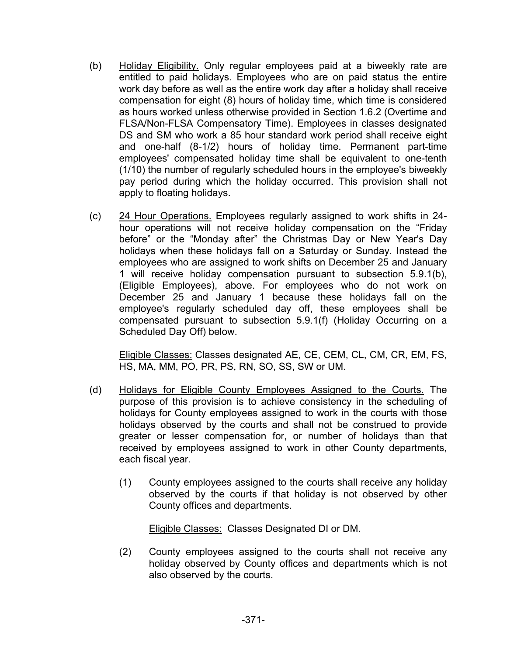- (b) Holiday Eligibility. Only regular employees paid at a biweekly rate are entitled to paid holidays. Employees who are on paid status the entire work day before as well as the entire work day after a holiday shall receive compensation for eight (8) hours of holiday time, which time is considered as hours worked unless otherwise provided in Section 1.6.2 (Overtime and FLSA/Non-FLSA Compensatory Time). Employees in classes designated DS and SM who work a 85 hour standard work period shall receive eight and one-half (8-1/2) hours of holiday time. Permanent part-time employees' compensated holiday time shall be equivalent to one-tenth (1/10) the number of regularly scheduled hours in the employee's biweekly pay period during which the holiday occurred. This provision shall not apply to floating holidays.
- (c) 24 Hour Operations. Employees regularly assigned to work shifts in 24 hour operations will not receive holiday compensation on the "Friday before" or the "Monday after" the Christmas Day or New Year's Day holidays when these holidays fall on a Saturday or Sunday. Instead the employees who are assigned to work shifts on December 25 and January 1 will receive holiday compensation pursuant to subsection 5.9.1(b), (Eligible Employees), above. For employees who do not work on December 25 and January 1 because these holidays fall on the employee's regularly scheduled day off, these employees shall be compensated pursuant to subsection 5.9.1(f) (Holiday Occurring on a Scheduled Day Off) below.

Eligible Classes: Classes designated AE, CE, CEM, CL, CM, CR, EM, FS, HS, MA, MM, PO, PR, PS, RN, SO, SS, SW or UM.

- (d) Holidays for Eligible County Employees Assigned to the Courts. The purpose of this provision is to achieve consistency in the scheduling of holidays for County employees assigned to work in the courts with those holidays observed by the courts and shall not be construed to provide greater or lesser compensation for, or number of holidays than that received by employees assigned to work in other County departments, each fiscal year.
	- (1) County employees assigned to the courts shall receive any holiday observed by the courts if that holiday is not observed by other County offices and departments.

Eligible Classes: Classes Designated DI or DM.

(2) County employees assigned to the courts shall not receive any holiday observed by County offices and departments which is not also observed by the courts.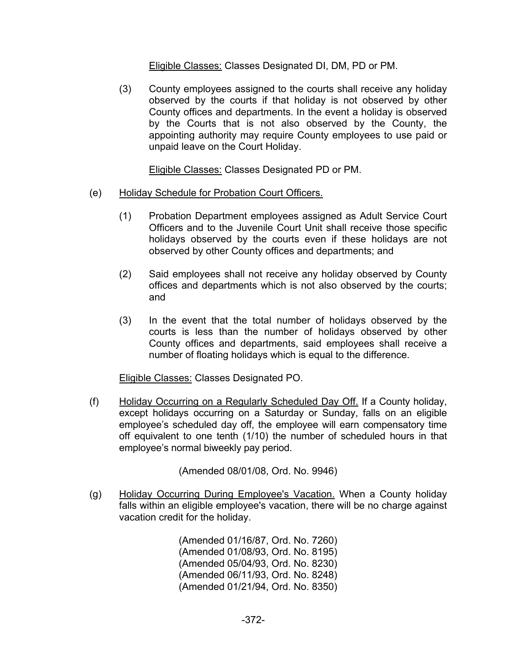Eligible Classes: Classes Designated DI, DM, PD or PM.

(3) County employees assigned to the courts shall receive any holiday observed by the courts if that holiday is not observed by other County offices and departments. In the event a holiday is observed by the Courts that is not also observed by the County, the appointing authority may require County employees to use paid or unpaid leave on the Court Holiday.

Eligible Classes: Classes Designated PD or PM.

- (e) Holiday Schedule for Probation Court Officers.
	- (1) Probation Department employees assigned as Adult Service Court Officers and to the Juvenile Court Unit shall receive those specific holidays observed by the courts even if these holidays are not observed by other County offices and departments; and
	- (2) Said employees shall not receive any holiday observed by County offices and departments which is not also observed by the courts; and
	- (3) In the event that the total number of holidays observed by the courts is less than the number of holidays observed by other County offices and departments, said employees shall receive a number of floating holidays which is equal to the difference.

Eligible Classes: Classes Designated PO.

(f) Holiday Occurring on a Regularly Scheduled Day Off. If a County holiday, except holidays occurring on a Saturday or Sunday, falls on an eligible employee's scheduled day off, the employee will earn compensatory time off equivalent to one tenth (1/10) the number of scheduled hours in that employee's normal biweekly pay period.

(Amended 08/01/08, Ord. No. 9946)

(g) Holiday Occurring During Employee's Vacation. When a County holiday falls within an eligible employee's vacation, there will be no charge against vacation credit for the holiday.

> (Amended 01/16/87, Ord. No. 7260) (Amended 01/08/93, Ord. No. 8195) (Amended 05/04/93, Ord. No. 8230) (Amended 06/11/93, Ord. No. 8248) (Amended 01/21/94, Ord. No. 8350)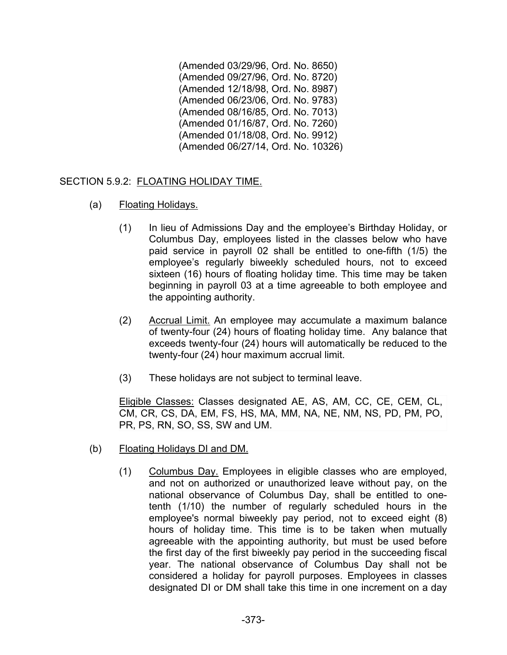(Amended 03/29/96, Ord. No. 8650) (Amended 09/27/96, Ord. No. 8720) (Amended 12/18/98, Ord. No. 8987) (Amended 06/23/06, Ord. No. 9783) (Amended 08/16/85, Ord. No. 7013) (Amended 01/16/87, Ord. No. 7260) (Amended 01/18/08, Ord. No. 9912) (Amended 06/27/14, Ord. No. 10326)

## SECTION 5.9.2: FLOATING HOLIDAY TIME.

- (a) Floating Holidays.
	- (1) In lieu of Admissions Day and the employee's Birthday Holiday, or Columbus Day, employees listed in the classes below who have paid service in payroll 02 shall be entitled to one-fifth (1/5) the employee's regularly biweekly scheduled hours, not to exceed sixteen (16) hours of floating holiday time. This time may be taken beginning in payroll 03 at a time agreeable to both employee and the appointing authority.
	- (2) Accrual Limit. An employee may accumulate a maximum balance of twenty-four (24) hours of floating holiday time. Any balance that exceeds twenty-four (24) hours will automatically be reduced to the twenty-four (24) hour maximum accrual limit.
	- (3) These holidays are not subject to terminal leave.

Eligible Classes: Classes designated AE, AS, AM, CC, CE, CEM, CL, CM, CR, CS, DA, EM, FS, HS, MA, MM, NA, NE, NM, NS, PD, PM, PO, PR, PS, RN, SO, SS, SW and UM.

- (b) Floating Holidays DI and DM.
	- (1) Columbus Day. Employees in eligible classes who are employed, and not on authorized or unauthorized leave without pay, on the national observance of Columbus Day, shall be entitled to onetenth (1/10) the number of regularly scheduled hours in the employee's normal biweekly pay period, not to exceed eight (8) hours of holiday time. This time is to be taken when mutually agreeable with the appointing authority, but must be used before the first day of the first biweekly pay period in the succeeding fiscal year. The national observance of Columbus Day shall not be considered a holiday for payroll purposes. Employees in classes designated DI or DM shall take this time in one increment on a day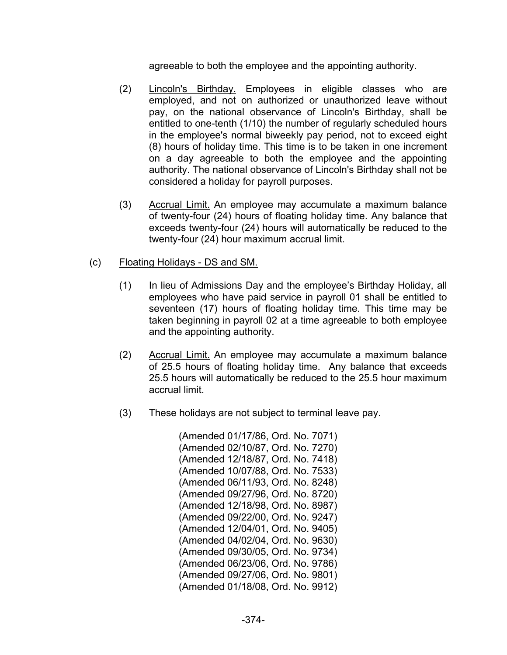agreeable to both the employee and the appointing authority.

- (2) Lincoln's Birthday. Employees in eligible classes who are employed, and not on authorized or unauthorized leave without pay, on the national observance of Lincoln's Birthday, shall be entitled to one-tenth (1/10) the number of regularly scheduled hours in the employee's normal biweekly pay period, not to exceed eight (8) hours of holiday time. This time is to be taken in one increment on a day agreeable to both the employee and the appointing authority. The national observance of Lincoln's Birthday shall not be considered a holiday for payroll purposes.
- (3) Accrual Limit. An employee may accumulate a maximum balance of twenty-four (24) hours of floating holiday time. Any balance that exceeds twenty-four (24) hours will automatically be reduced to the twenty-four (24) hour maximum accrual limit.

### (c) Floating Holidays - DS and SM.

- (1) In lieu of Admissions Day and the employee's Birthday Holiday, all employees who have paid service in payroll 01 shall be entitled to seventeen (17) hours of floating holiday time. This time may be taken beginning in payroll 02 at a time agreeable to both employee and the appointing authority.
- (2) Accrual Limit. An employee may accumulate a maximum balance of 25.5 hours of floating holiday time. Any balance that exceeds 25.5 hours will automatically be reduced to the 25.5 hour maximum accrual limit.
- (3) These holidays are not subject to terminal leave pay.

(Amended 01/17/86, Ord. No. 7071) (Amended 02/10/87, Ord. No. 7270) (Amended 12/18/87, Ord. No. 7418) (Amended 10/07/88, Ord. No. 7533) (Amended 06/11/93, Ord. No. 8248) (Amended 09/27/96, Ord. No. 8720) (Amended 12/18/98, Ord. No. 8987) (Amended 09/22/00, Ord. No. 9247) (Amended 12/04/01, Ord. No. 9405) (Amended 04/02/04, Ord. No. 9630) (Amended 09/30/05, Ord. No. 9734) (Amended 06/23/06, Ord. No. 9786) (Amended 09/27/06, Ord. No. 9801) (Amended 01/18/08, Ord. No. 9912)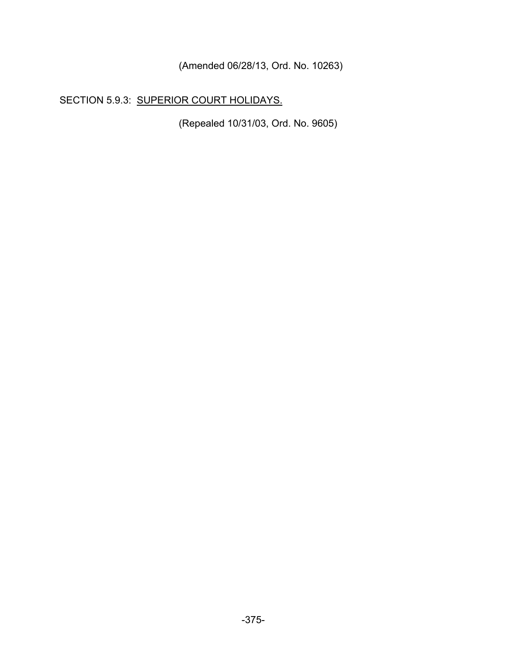(Amended 06/28/13, Ord. No. 10263)

# SECTION 5.9.3: SUPERIOR COURT HOLIDAYS.

(Repealed 10/31/03, Ord. No. 9605)